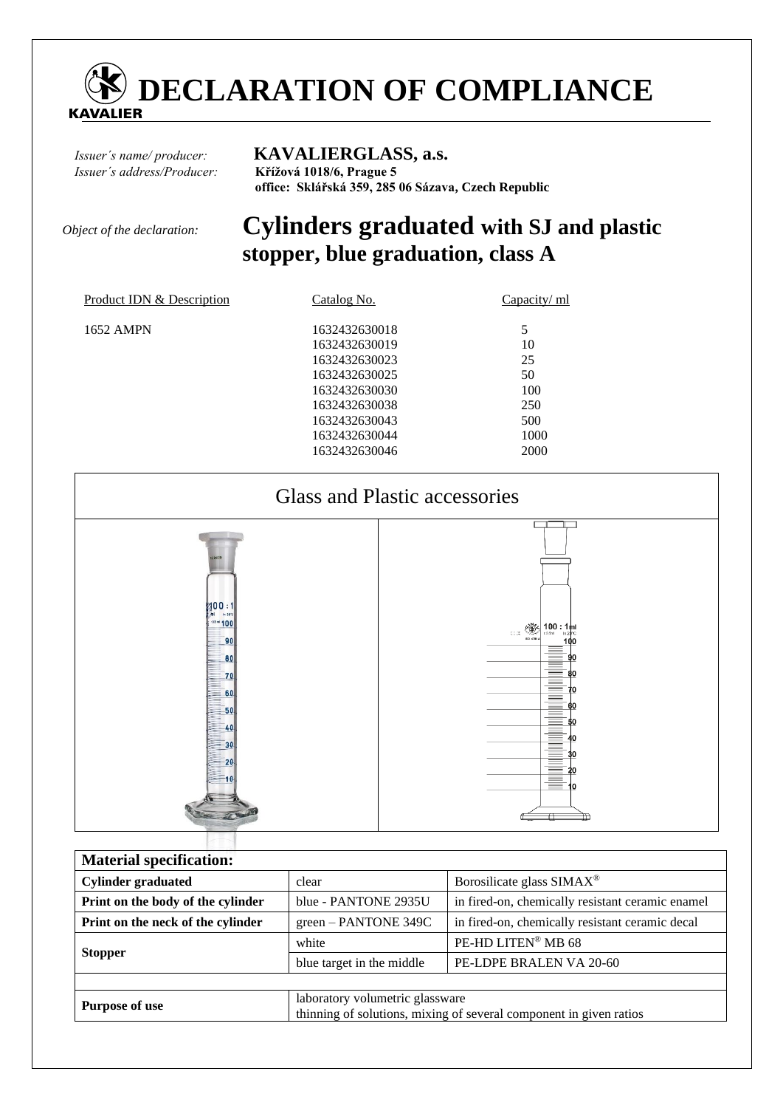

## *Issuer´s name/ producer:* **KAVALIERGLASS, a.s.**

*Issuer´s address/Producer:* **Křížová 1018/6, Prague 5 office: Sklářská 359, 285 06 Sázava, Czech Republic** 

# *Object of the declaration:* **Cylinders graduated with SJ and plastic stopper, blue graduation, class A**

| Product IDN & Description | Catalog No.                                                                                                                                           | Capacity/ ml                                        |
|---------------------------|-------------------------------------------------------------------------------------------------------------------------------------------------------|-----------------------------------------------------|
| 1652 AMPN                 | 1632432630018<br>1632432630019<br>1632432630023<br>1632432630025<br>1632432630030<br>1632432630038<br>1632432630043<br>1632432630044<br>1632432630046 | 10<br>25<br>50<br>100<br>250<br>500<br>1000<br>2000 |
|                           |                                                                                                                                                       |                                                     |



| <b>Material specification:</b>    |                                                                                                       |                                                  |  |  |  |
|-----------------------------------|-------------------------------------------------------------------------------------------------------|--------------------------------------------------|--|--|--|
| <b>Cylinder graduated</b>         | Borosilicate glass SIMAX <sup>®</sup><br>clear                                                        |                                                  |  |  |  |
| Print on the body of the cylinder | blue - PANTONE 2935U                                                                                  | in fired-on, chemically resistant ceramic enamel |  |  |  |
| Print on the neck of the cylinder | green – PANTONE 349C                                                                                  | in fired-on, chemically resistant ceramic decal  |  |  |  |
| <b>Stopper</b>                    | white                                                                                                 | PE-HD LITEN® MB 68                               |  |  |  |
|                                   | blue target in the middle                                                                             | PE-LDPE BRALEN VA 20-60                          |  |  |  |
|                                   |                                                                                                       |                                                  |  |  |  |
| <b>Purpose of use</b>             | laboratory volumetric glassware<br>thinning of solutions, mixing of several component in given ratios |                                                  |  |  |  |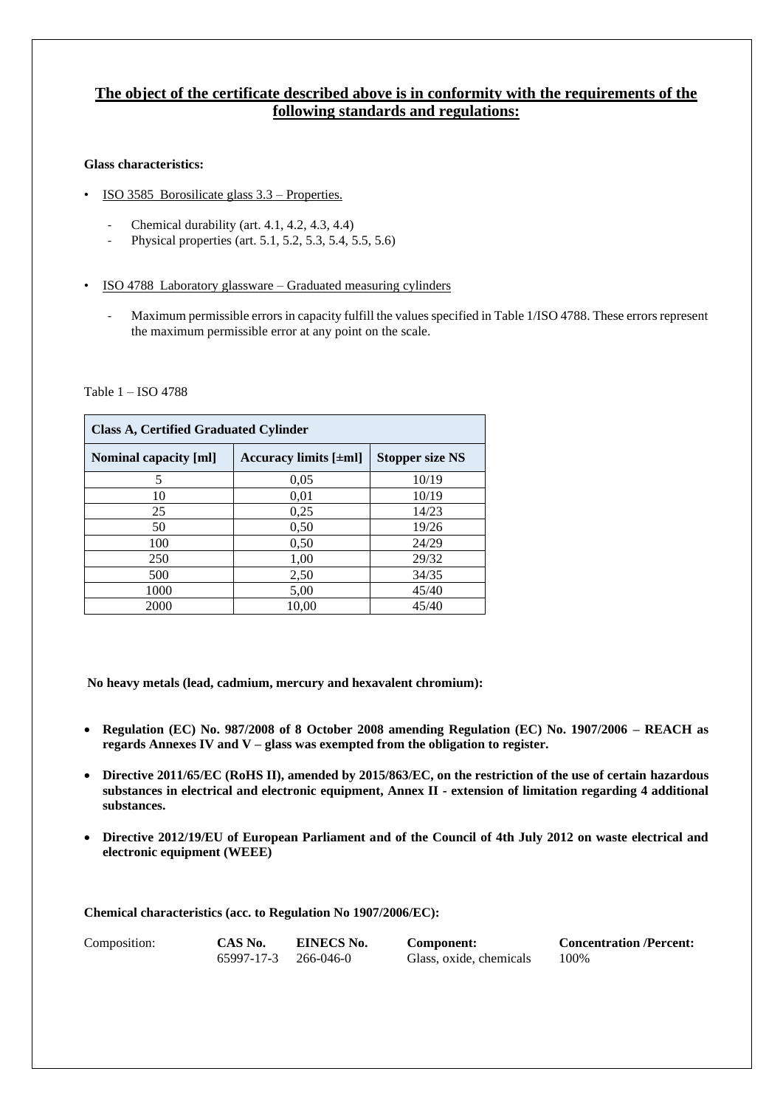## **The object of the certificate described above is in conformity with the requirements of the following standards and regulations:**

### **Glass characteristics:**

- ISO 3585 Borosilicate glass 3.3 Properties.
	- Chemical durability (art. 4.1, 4.2, 4.3, 4.4)
	- Physical properties (art. 5.1, 5.2, 5.3, 5.4, 5.5, 5.6)
- ISO 4788 Laboratory glassware Graduated measuring cylinders
	- Maximum permissible errors in capacity fulfill the values specified in Table 1/ISO 4788. These errors represent the maximum permissible error at any point on the scale.

#### Table 1 – ISO 4788

| <b>Class A, Certified Graduated Cylinder</b> |                           |                        |  |  |  |
|----------------------------------------------|---------------------------|------------------------|--|--|--|
| <b>Nominal capacity [ml]</b>                 | Accuracy limits $[\pm m]$ | <b>Stopper size NS</b> |  |  |  |
| 5                                            | 0,05                      | 10/19                  |  |  |  |
| 10                                           | 0.01                      | 10/19                  |  |  |  |
| 25                                           | 0,25                      | 14/23                  |  |  |  |
| 50                                           | 0,50                      | 19/26                  |  |  |  |
| 100                                          | 0,50                      | 24/29                  |  |  |  |
| 250                                          | 1,00                      | 29/32                  |  |  |  |
| 500                                          | 2,50                      | 34/35                  |  |  |  |
| 1000                                         | 5,00                      | 45/40                  |  |  |  |
| 2000                                         | 10,00                     | 45/40                  |  |  |  |

**No heavy metals (lead, cadmium, mercury and hexavalent chromium):** 

- **Regulation (EC) No. 987/2008 of 8 October 2008 amending Regulation (EC) No. 1907/2006 – REACH as regards Annexes IV and V – glass was exempted from the obligation to register.**
- **Directive 2011/65/EC (RoHS II), amended by 2015/863/EC, on the restriction of the use of certain hazardous substances in electrical and electronic equipment, Annex II - extension of limitation regarding 4 additional substances.**
- **Directive 2012/19/EU of European Parliament and of the Council of 4th July 2012 on waste electrical and electronic equipment (WEEE)**

**Chemical characteristics (acc. to Regulation No 1907/2006/EC):**

| Composition: | CAS No.              | <b>EINECS No.</b> | Component:              | <b>Concentration /Percent:</b> |
|--------------|----------------------|-------------------|-------------------------|--------------------------------|
|              | 65997-17-3 266-046-0 |                   | Glass, oxide, chemicals | 100%                           |